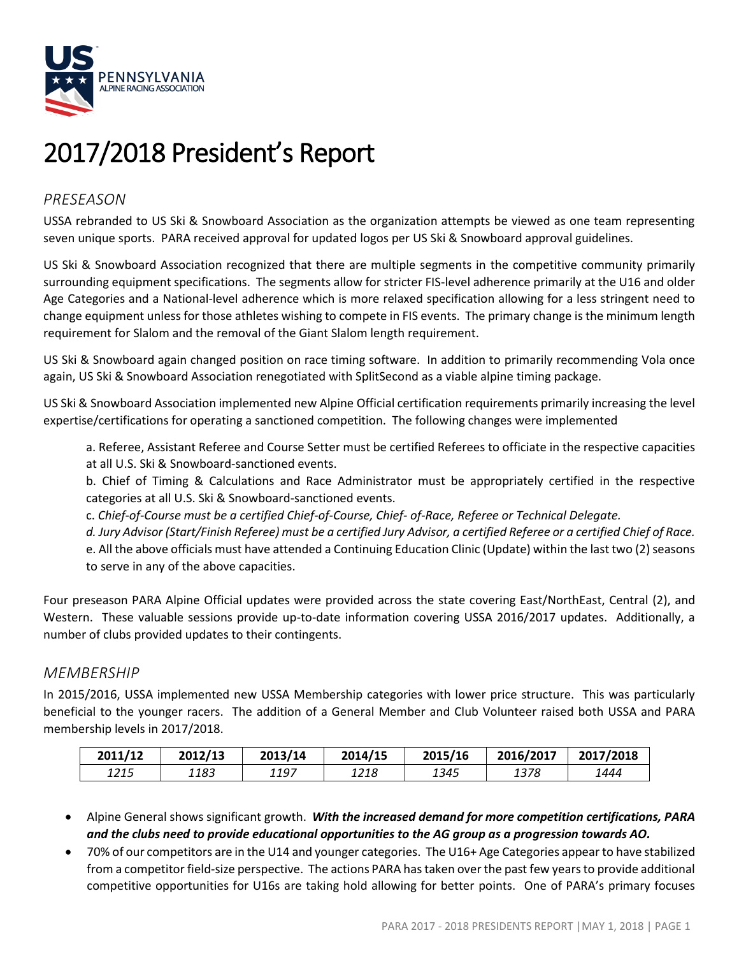

# 2017/2018 President's Report

# *PRESEASON*

USSA rebranded to US Ski & Snowboard Association as the organization attempts be viewed as one team representing seven unique sports. PARA received approval for updated logos per US Ski & Snowboard approval guidelines.

US Ski & Snowboard Association recognized that there are multiple segments in the competitive community primarily surrounding equipment specifications. The segments allow for stricter FIS-level adherence primarily at the U16 and older Age Categories and a National-level adherence which is more relaxed specification allowing for a less stringent need to change equipment unless for those athletes wishing to compete in FIS events. The primary change is the minimum length requirement for Slalom and the removal of the Giant Slalom length requirement.

US Ski & Snowboard again changed position on race timing software. In addition to primarily recommending Vola once again, US Ski & Snowboard Association renegotiated with SplitSecond as a viable alpine timing package.

US Ski & Snowboard Association implemented new Alpine Official certification requirements primarily increasing the level expertise/certifications for operating a sanctioned competition. The following changes were implemented

a. Referee, Assistant Referee and Course Setter must be certified Referees to officiate in the respective capacities at all U.S. Ski & Snowboard-sanctioned events.

b. Chief of Timing & Calculations and Race Administrator must be appropriately certified in the respective categories at all U.S. Ski & Snowboard-sanctioned events.

c. *Chief-of-Course must be a certified Chief-of-Course, Chief- of-Race, Referee or Technical Delegate.* 

*d. Jury Advisor (Start/Finish Referee) must be a certified Jury Advisor, a certified Referee or a certified Chief of Race.*  e. All the above officials must have attended a Continuing Education Clinic (Update) within the last two (2) seasons to serve in any of the above capacities.

Four preseason PARA Alpine Official updates were provided across the state covering East/NorthEast, Central (2), and Western. These valuable sessions provide up-to-date information covering USSA 2016/2017 updates. Additionally, a number of clubs provided updates to their contingents.

## *MEMBERSHIP*

In 2015/2016, USSA implemented new USSA Membership categories with lower price structure. This was particularly beneficial to the younger racers. The addition of a General Member and Club Volunteer raised both USSA and PARA membership levels in 2017/2018.

| 2011/12 | 2012/13 | 2013/14 | 2014/15 | 2015/16 | 2016/2017 | 2017/2018 |
|---------|---------|---------|---------|---------|-----------|-----------|
| 1215    | 1183    | 1197    | 1218    | 1345    | 1378      | 1444      |

- Alpine General shows significant growth. *With the increased demand for more competition certifications, PARA and the clubs need to provide educational opportunities to the AG group as a progression towards AO.*
- 70% of our competitors are in the U14 and younger categories. The U16+ Age Categories appear to have stabilized from a competitor field-size perspective. The actions PARA has taken over the past few years to provide additional competitive opportunities for U16s are taking hold allowing for better points. One of PARA's primary focuses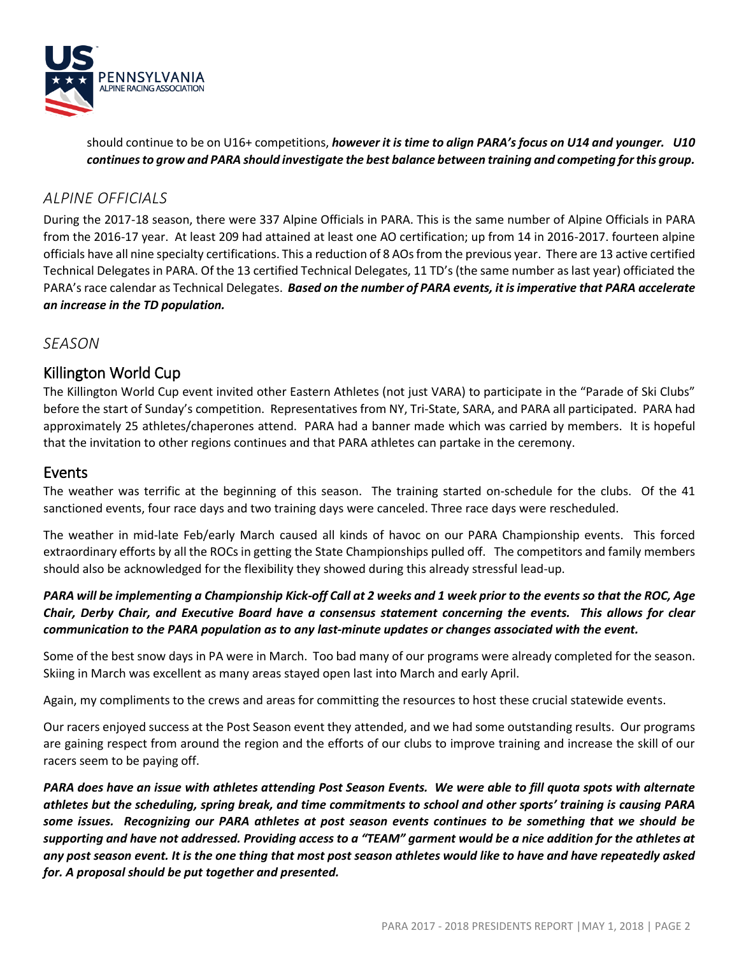

should continue to be on U16+ competitions, *however it is time to align PARA's focus on U14 and younger. U10 continues to grow and PARA should investigate the best balance between training and competing for this group.*

## *ALPINE OFFICIALS*

During the 2017-18 season, there were 337 Alpine Officials in PARA. This is the same number of Alpine Officials in PARA from the 2016-17 year. At least 209 had attained at least one AO certification; up from 14 in 2016-2017. fourteen alpine officials have all nine specialty certifications. This a reduction of 8 AOs from the previous year. There are 13 active certified Technical Delegates in PARA. Of the 13 certified Technical Delegates, 11 TD's (the same number as last year) officiated the PARA's race calendar as Technical Delegates. *Based on the number of PARA events, it is imperative that PARA accelerate an increase in the TD population.*

## *SEASON*

## Killington World Cup

The Killington World Cup event invited other Eastern Athletes (not just VARA) to participate in the "Parade of Ski Clubs" before the start of Sunday's competition. Representatives from NY, Tri-State, SARA, and PARA all participated. PARA had approximately 25 athletes/chaperones attend. PARA had a banner made which was carried by members. It is hopeful that the invitation to other regions continues and that PARA athletes can partake in the ceremony.

## Events

The weather was terrific at the beginning of this season. The training started on-schedule for the clubs. Of the 41 sanctioned events, four race days and two training days were canceled. Three race days were rescheduled.

The weather in mid-late Feb/early March caused all kinds of havoc on our PARA Championship events. This forced extraordinary efforts by all the ROCs in getting the State Championships pulled off. The competitors and family members should also be acknowledged for the flexibility they showed during this already stressful lead-up.

## *PARA will be implementing a Championship Kick-off Call at 2 weeks and 1 week prior to the events so that the ROC, Age Chair, Derby Chair, and Executive Board have a consensus statement concerning the events. This allows for clear communication to the PARA population as to any last-minute updates or changes associated with the event.*

Some of the best snow days in PA were in March. Too bad many of our programs were already completed for the season. Skiing in March was excellent as many areas stayed open last into March and early April.

Again, my compliments to the crews and areas for committing the resources to host these crucial statewide events.

Our racers enjoyed success at the Post Season event they attended, and we had some outstanding results. Our programs are gaining respect from around the region and the efforts of our clubs to improve training and increase the skill of our racers seem to be paying off.

*PARA does have an issue with athletes attending Post Season Events. We were able to fill quota spots with alternate athletes but the scheduling, spring break, and time commitments to school and other sports' training is causing PARA some issues. Recognizing our PARA athletes at post season events continues to be something that we should be supporting and have not addressed. Providing access to a "TEAM" garment would be a nice addition for the athletes at any post season event. It is the one thing that most post season athletes would like to have and have repeatedly asked for. A proposal should be put together and presented.*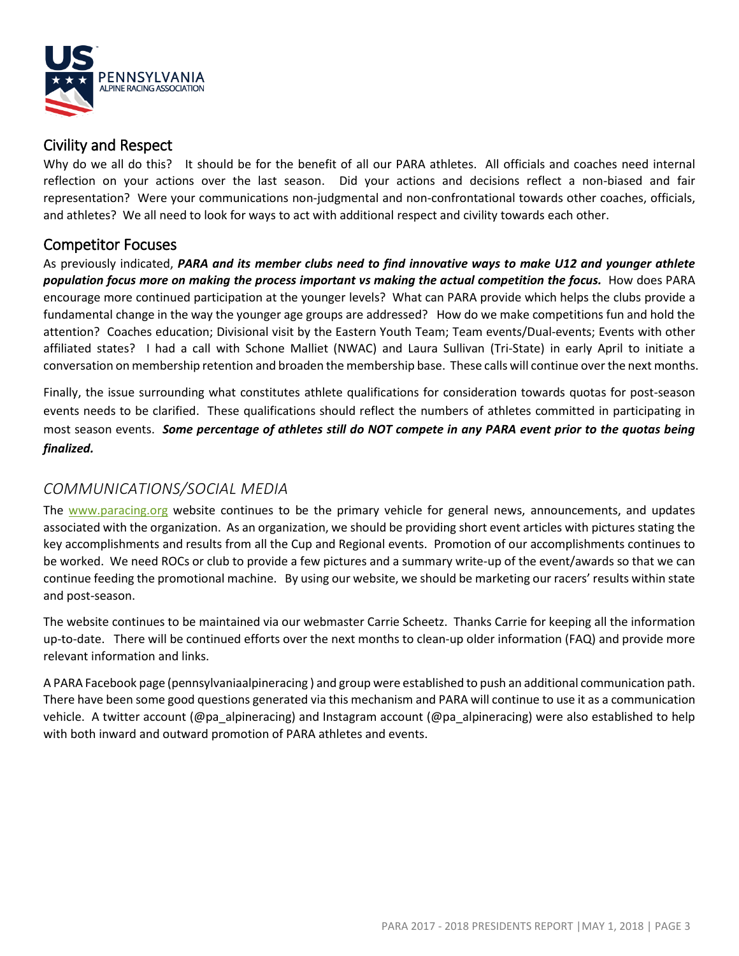

## Civility and Respect

Why do we all do this? It should be for the benefit of all our PARA athletes. All officials and coaches need internal reflection on your actions over the last season. Did your actions and decisions reflect a non-biased and fair representation? Were your communications non-judgmental and non-confrontational towards other coaches, officials, and athletes? We all need to look for ways to act with additional respect and civility towards each other.

# Competitor Focuses

As previously indicated, *PARA and its member clubs need to find innovative ways to make U12 and younger athlete population focus more on making the process important vs making the actual competition the focus.* How does PARA encourage more continued participation at the younger levels? What can PARA provide which helps the clubs provide a fundamental change in the way the younger age groups are addressed? How do we make competitions fun and hold the attention? Coaches education; Divisional visit by the Eastern Youth Team; Team events/Dual-events; Events with other affiliated states? I had a call with Schone Malliet (NWAC) and Laura Sullivan (Tri-State) in early April to initiate a conversation on membership retention and broaden the membership base. These calls will continue over the next months.

Finally, the issue surrounding what constitutes athlete qualifications for consideration towards quotas for post-season events needs to be clarified. These qualifications should reflect the numbers of athletes committed in participating in most season events. *Some percentage of athletes still do NOT compete in any PARA event prior to the quotas being finalized.*

## *COMMUNICATIONS/SOCIAL MEDIA*

The [www.paracing.org](http://www.paracing.org/) website continues to be the primary vehicle for general news, announcements, and updates associated with the organization. As an organization, we should be providing short event articles with pictures stating the key accomplishments and results from all the Cup and Regional events. Promotion of our accomplishments continues to be worked. We need ROCs or club to provide a few pictures and a summary write-up of the event/awards so that we can continue feeding the promotional machine. By using our website, we should be marketing our racers' results within state and post-season.

The website continues to be maintained via our webmaster Carrie Scheetz. Thanks Carrie for keeping all the information up-to-date. There will be continued efforts over the next months to clean-up older information (FAQ) and provide more relevant information and links.

A PARA Facebook page (pennsylvaniaalpineracing ) and group were established to push an additional communication path. There have been some good questions generated via this mechanism and PARA will continue to use it as a communication vehicle. A twitter account (@pa\_alpineracing) and Instagram account (@pa\_alpineracing) were also established to help with both inward and outward promotion of PARA athletes and events.